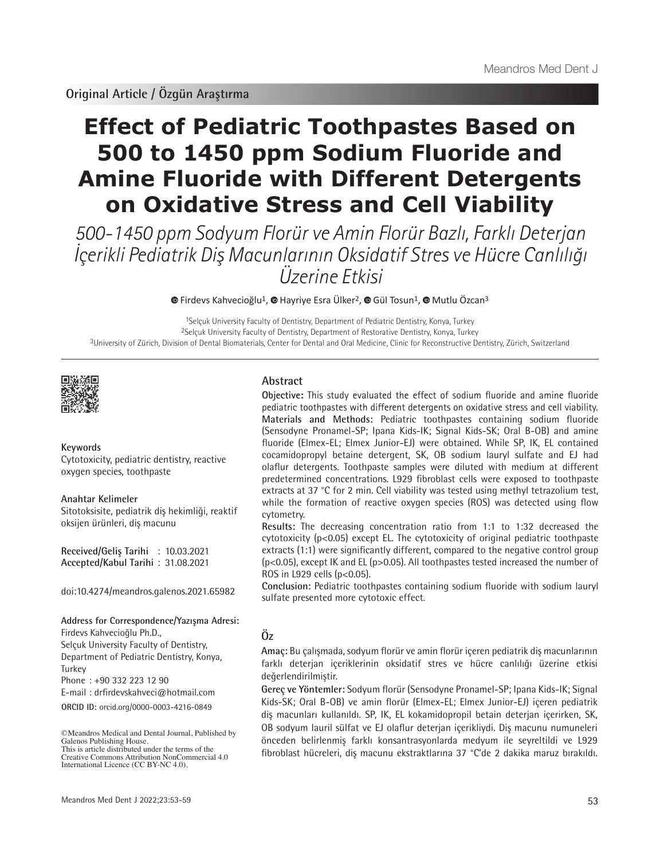**Original Article / Özgün Araştırma**

# **Effect of Pediatric Toothpastes Based on 500 to 1450 ppm Sodium Fluoride and Amine Fluoride with Different Detergents on Oxidative Stress and Cell Viability**

500-1450 ppm Sodyum Florür ve Amin Florür Bazlı, Farklı Deterjan İçerikli Pediatrik Diş Macunlarının Oksidatif Stres ve Hücre Canlılığı Üzerine Etkisi

**©**Firdevs Kahvecioğlu<sup>1</sup>, **©** Hayriye Esra Ülker<sup>2</sup>, © Gül Tosun<sup>1</sup>, © Mutlu Özcan<sup>3</sup>

1Selçuk University Faculty of Dentistry, Department of Pediatric Dentistry, Konya, Turkey 2Selçuk University Faculty of Dentistry, Department of Restorative Dentistry, Konya, Turkey 3University of Zürich, Division of Dental Biomaterials, Center for Dental and Oral Medicine, Clinic for Reconstructive Dentistry, Zürich, Switzerland



#### **Keywords**

Cytotoxicity, pediatric dentistry, reactive oxygen species, toothpaste

#### **Anahtar Kelimeler**

Sitotoksisite, pediatrik diş hekimliği, reaktif oksijen ürünleri, diş macunu

**Received/Geliş Tarihi** : 10.03.2021 **Accepted/Kabul Tarihi** : 31.08.2021

doi:10.4274/meandros.galenos.2021.65982

**Address for Correspondence/Yazışma Adresi:**

Firdevs Kahvecioğlu Ph.D.,

Selçuk University Faculty of Dentistry, Department of Pediatric Dentistry, Konya, Turkey

Phone : +90 332 223 12 90

E-mail : drfirdevskahveci@hotmail.com

**ORCID ID:** orcid.org/0000-0003-4216-0849

©Meandros Medical and Dental Journal, Published by Galenos Publishing House. This is article distributed under the terms of the

# **Abstract**

**Objective:** This study evaluated the effect of sodium fluoride and amine fluoride pediatric toothpastes with different detergents on oxidative stress and cell viability. **Materials and Methods:** Pediatric toothpastes containing sodium fluoride (Sensodyne Pronamel-SP; Ipana Kids-IK; Signal Kids-SK; Oral B-OB) and amine fluoride (Elmex-EL; Elmex Junior-EJ) were obtained. While SP, IK, EL contained cocamidopropyl betaine detergent, SK, OB sodium lauryl sulfate and EJ had olaflur detergents. Toothpaste samples were diluted with medium at different predetermined concentrations. L929 fibroblast cells were exposed to toothpaste extracts at 37 °C for 2 min. Cell viability was tested using methyl tetrazolium test, while the formation of reactive oxygen species (ROS) was detected using flow cytometry.

**Results:** The decreasing concentration ratio from 1:1 to 1:32 decreased the cytotoxicity (p<0.05) except EL. The cytotoxicity of original pediatric toothpaste extracts (1:1) were significantly different, compared to the negative control group (p<0.05), except IK and EL (p>0.05). All toothpastes tested increased the number of ROS in L929 cells (p<0.05).

**Conclusion:** Pediatric toothpastes containing sodium fluoride with sodium lauryl sulfate presented more cytotoxic effect.

# **Öz**

**Amaç:** Bu çalışmada, sodyum florür ve amin florür içeren pediatrik diş macunlarının farklı deterjan içeriklerinin oksidatif stres ve hücre canlılığı üzerine etkisi değerlendirilmiştir.

**Gereç ve Yöntemler:** Sodyum florür (Sensodyne Pronamel-SP; Ipana Kids-IK; Signal Kids-SK; Oral B-OB) ve amin florür (Elmex-EL; Elmex Junior-EJ) içeren pediatrik diş macunları kullanıldı. SP, IK, EL kokamidopropil betain deterjan içerirken, SK, OB sodyum lauril sülfat ve EJ olaflur deterjan içerikliydi. Diş macunu numuneleri önceden belirlenmiş farklı konsantrasyonlarda medyum ile seyreltildi ve L929 fibroblast hücreleri, diş macunu ekstraktlarına 37 °C'de 2 dakika maruz bırakıldı.

Creative Commons Attribution NonCommercial 4.0 International Licence (CC BY-NC 4.0).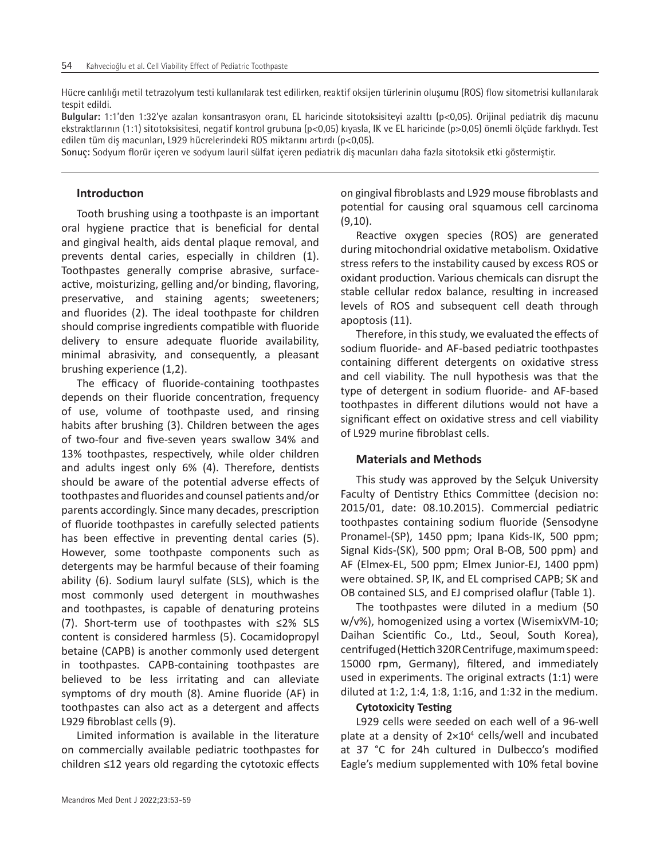Hücre canlılığı metil tetrazolyum testi kullanılarak test edilirken, reaktif oksijen türlerinin oluşumu (ROS) flow sitometrisi kullanılarak tespit edildi.

**Bulgular:** 1:1'den 1:32'ye azalan konsantrasyon oranı, EL haricinde sitotoksisiteyi azalttı (p<0,05). Orijinal pediatrik diş macunu ekstraktlarının (1:1) sitotoksisitesi, negatif kontrol grubuna (p<0,05) kıyasla, IK ve EL haricinde (p>0,05) önemli ölçüde farklıydı. Test edilen tüm diş macunları, L929 hücrelerindeki ROS miktarını artırdı (p<0,05).

**Sonuç:** Sodyum florür içeren ve sodyum lauril sülfat içeren pediatrik diş macunları daha fazla sitotoksik etki göstermiştir.

# **Introductıon**

Tooth brushing using a toothpaste is an important oral hygiene practice that is beneficial for dental and gingival health, aids dental plaque removal, and prevents dental caries, especially in children (1). Toothpastes generally comprise abrasive, surfaceactive, moisturizing, gelling and/or binding, flavoring, preservative, and staining agents; sweeteners; and fluorides (2). The ideal toothpaste for children should comprise ingredients compatible with fluoride delivery to ensure adequate fluoride availability, minimal abrasivity, and consequently, a pleasant brushing experience (1,2).

The efficacy of fluoride-containing toothpastes depends on their fluoride concentration, frequency of use, volume of toothpaste used, and rinsing habits after brushing (3). Children between the ages of two-four and five-seven years swallow 34% and 13% toothpastes, respectively, while older children and adults ingest only 6% (4). Therefore, dentists should be aware of the potential adverse effects of toothpastes and fluorides and counsel patients and/or parents accordingly. Since many decades, prescription of fluoride toothpastes in carefully selected patients has been effective in preventing dental caries (5). However, some toothpaste components such as detergents may be harmful because of their foaming ability (6). Sodium lauryl sulfate (SLS), which is the most commonly used detergent in mouthwashes and toothpastes, is capable of denaturing proteins (7). Short-term use of toothpastes with ≤2% SLS content is considered harmless (5). Cocamidopropyl betaine (CAPB) is another commonly used detergent in toothpastes. CAPB-containing toothpastes are believed to be less irritating and can alleviate symptoms of dry mouth (8). Amine fluoride (AF) in toothpastes can also act as a detergent and affects L929 fibroblast cells (9).

Limited information is available in the literature on commercially available pediatric toothpastes for children ≤12 years old regarding the cytotoxic effects

on gingival fibroblasts and L929 mouse fibroblasts and potential for causing oral squamous cell carcinoma (9,10).

Reactive oxygen species (ROS) are generated during mitochondrial oxidative metabolism. Oxidative stress refers to the instability caused by excess ROS or oxidant production. Various chemicals can disrupt the stable cellular redox balance, resulting in increased levels of ROS and subsequent cell death through apoptosis (11).

Therefore, in this study, we evaluated the effects of sodium fluoride- and AF-based pediatric toothpastes containing different detergents on oxidative stress and cell viability. The null hypothesis was that the type of detergent in sodium fluoride- and AF-based toothpastes in different dilutions would not have a significant effect on oxidative stress and cell viability of L929 murine fibroblast cells.

#### **Materials and Methods**

This study was approved by the Selçuk University Faculty of Dentistry Ethics Committee (decision no: 2015/01, date: 08.10.2015). Commercial pediatric toothpastes containing sodium fluoride (Sensodyne Pronamel-(SP), 1450 ppm; Ipana Kids-IK, 500 ppm; Signal Kids-(SK), 500 ppm; Oral B-OB, 500 ppm) and AF (Elmex-EL, 500 ppm; Elmex Junior-EJ, 1400 ppm) were obtained. SP, IK, and EL comprised CAPB; SK and OB contained SLS, and EJ comprised olaflur (Table 1).

The toothpastes were diluted in a medium (50 w/v%), homogenized using a vortex (WisemixVM-10; Daihan Scientific Co., Ltd., Seoul, South Korea), centrifuged (Hettich 320R Centrifuge, maximum speed: 15000 rpm, Germany), filtered, and immediately used in experiments. The original extracts (1:1) were diluted at 1:2, 1:4, 1:8, 1:16, and 1:32 in the medium.

#### **Cytotoxicity Testing**

L929 cells were seeded on each well of a 96-well plate at a density of  $2\times10^4$  cells/well and incubated at 37 °C for 24h cultured in Dulbecco's modified Eagle's medium supplemented with 10% fetal bovine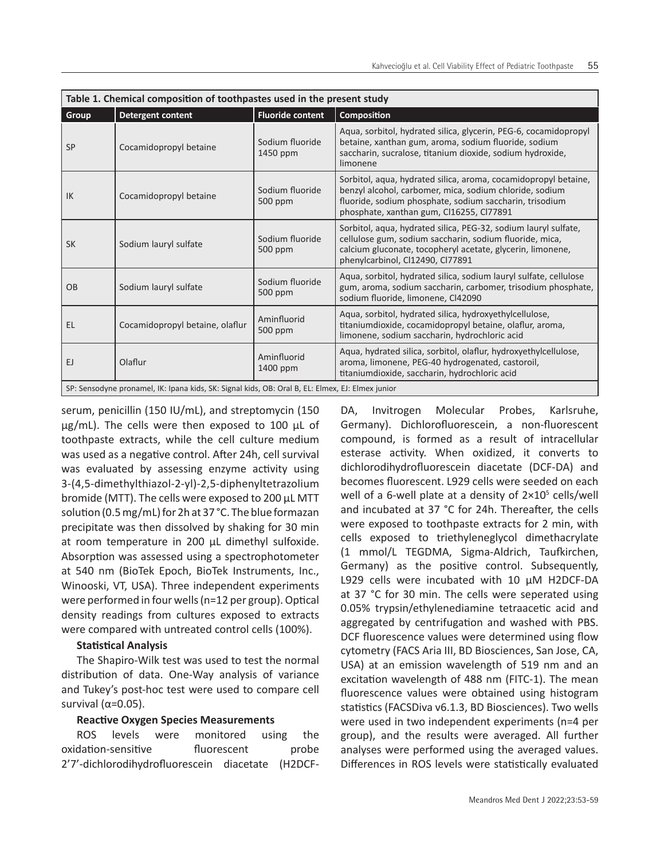| Table 1. Chemical composition of toothpastes used in the present study                           |                                 |                                               |                                                                                                                                                                                                                                   |  |  |  |  |
|--------------------------------------------------------------------------------------------------|---------------------------------|-----------------------------------------------|-----------------------------------------------------------------------------------------------------------------------------------------------------------------------------------------------------------------------------------|--|--|--|--|
| Group                                                                                            | <b>Detergent content</b>        | <b>Fluoride content</b><br><b>Composition</b> |                                                                                                                                                                                                                                   |  |  |  |  |
| <b>SP</b>                                                                                        | Cocamidopropyl betaine          | Sodium fluoride<br>1450 ppm                   | Aqua, sorbitol, hydrated silica, glycerin, PEG-6, cocamidopropyl<br>betaine, xanthan gum, aroma, sodium fluoride, sodium<br>saccharin, sucralose, titanium dioxide, sodium hydroxide,<br>limonene                                 |  |  |  |  |
| IK                                                                                               | Cocamidopropyl betaine          | Sodium fluoride<br>500 ppm                    | Sorbitol, aqua, hydrated silica, aroma, cocamidopropyl betaine,<br>benzyl alcohol, carbomer, mica, sodium chloride, sodium<br>fluoride, sodium phosphate, sodium saccharin, trisodium<br>phosphate, xanthan gum, Cl16255, Cl77891 |  |  |  |  |
| <b>SK</b>                                                                                        | Sodium lauryl sulfate           | Sodium fluoride<br>500 ppm                    | Sorbitol, aqua, hydrated silica, PEG-32, sodium lauryl sulfate,<br>cellulose gum, sodium saccharin, sodium fluoride, mica,<br>calcium gluconate, tocopheryl acetate, glycerin, limonene,<br>phenylcarbinol, Cl12490, Cl77891      |  |  |  |  |
| <b>OB</b>                                                                                        | Sodium lauryl sulfate           | Sodium fluoride<br>500 ppm                    | Aqua, sorbitol, hydrated silica, sodium lauryl sulfate, cellulose<br>gum, aroma, sodium saccharin, carbomer, trisodium phosphate,<br>sodium fluoride, limonene, Cl42090                                                           |  |  |  |  |
| <b>EL</b>                                                                                        | Cocamidopropyl betaine, olaflur | Aminfluorid<br>500 ppm                        | Aqua, sorbitol, hydrated silica, hydroxyethylcellulose,<br>titaniumdioxide, cocamidopropyl betaine, olaflur, aroma,<br>limonene, sodium saccharin, hydrochloric acid                                                              |  |  |  |  |
| EJ                                                                                               | Olaflur                         | Aminfluorid<br>1400 ppm                       | Aqua, hydrated silica, sorbitol, olaflur, hydroxyethylcellulose,<br>aroma, limonene, PEG-40 hydrogenated, castoroil,<br>titaniumdioxide, saccharin, hydrochloric acid                                                             |  |  |  |  |
| SP: Sensodyne pronamel, IK: Ipana kids, SK: Signal kids, OB: Oral B, EL: Elmex, EJ: Elmex junior |                                 |                                               |                                                                                                                                                                                                                                   |  |  |  |  |

serum, penicillin (150 IU/mL), and streptomycin (150  $\mu$ g/mL). The cells were then exposed to 100  $\mu$ L of toothpaste extracts, while the cell culture medium was used as a negative control. After 24h, cell survival was evaluated by assessing enzyme activity using 3-(4,5-dimethylthiazol-2-yl)-2,5-diphenyltetrazolium bromide (MTT). The cells were exposed to 200 µL MTT solution (0.5 mg/mL) for 2h at 37 °C. The blue formazan precipitate was then dissolved by shaking for 30 min at room temperature in 200 µL dimethyl sulfoxide. Absorption was assessed using a spectrophotometer at 540 nm (BioTek Epoch, BioTek Instruments, Inc., Winooski, VT, USA). Three independent experiments were performed in four wells (n=12 per group). Optical density readings from cultures exposed to extracts were compared with untreated control cells (100%).

# **Statistical Analysis**

The Shapiro-Wilk test was used to test the normal distribution of data. One-Way analysis of variance and Tukey's post-hoc test were used to compare cell survival ( $α=0.05$ ).

# **Reactive Oxygen Species Measurements**

ROS levels were monitored using the oxidation-sensitive fluorescent probe 2'7'-dichlorodihydrofluorescein diacetate (H2DCF- DA, Invitrogen Molecular Probes, Karlsruhe, Germany). Dichlorofluorescein, a non-fluorescent compound, is formed as a result of intracellular esterase activity. When oxidized, it converts to dichlorodihydrofluorescein diacetate (DCF-DA) and becomes fluorescent. L929 cells were seeded on each well of a 6-well plate at a density of  $2\times10^5$  cells/well and incubated at 37 °C for 24h. Thereafter, the cells were exposed to toothpaste extracts for 2 min, with cells exposed to triethyleneglycol dimethacrylate (1 mmol/L TEGDMA, Sigma-Aldrich, Taufkirchen, Germany) as the positive control. Subsequently, L929 cells were incubated with 10 µM H2DCF-DA at 37 °C for 30 min. The cells were seperated using 0.05% trypsin/ethylenediamine tetraacetic acid and aggregated by centrifugation and washed with PBS. DCF fluorescence values were determined using flow cytometry (FACS Aria III, BD Biosciences, San Jose, CA, USA) at an emission wavelength of 519 nm and an excitation wavelength of 488 nm (FITC-1). The mean fluorescence values were obtained using histogram statistics (FACSDiva v6.1.3, BD Biosciences). Two wells were used in two independent experiments (n=4 per group), and the results were averaged. All further analyses were performed using the averaged values. Differences in ROS levels were statistically evaluated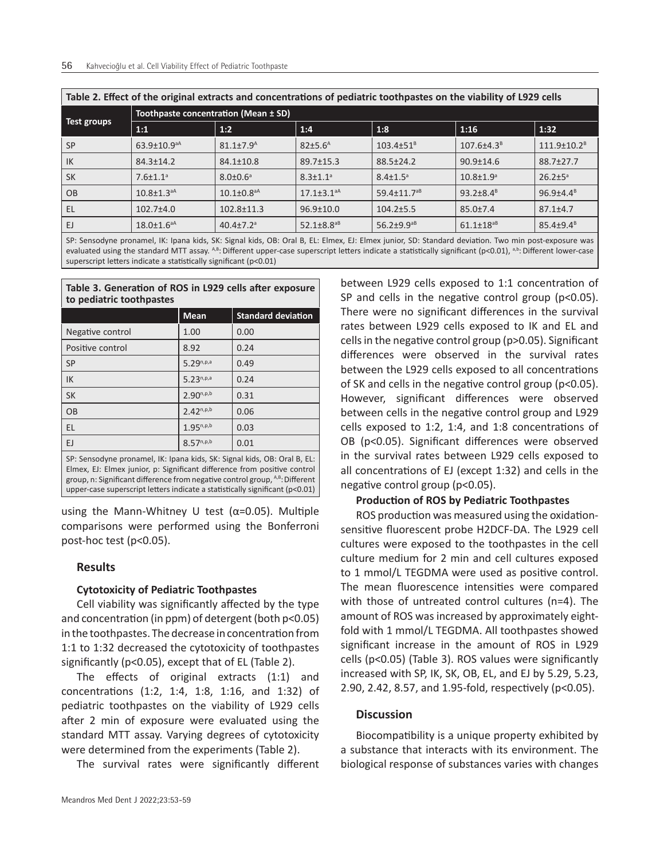| Table 2. Effect of the original extracts and concentrations of pediatric toothpastes on the viability of E929 cens |                                      |                              |                              |                               |                             |                      |  |  |
|--------------------------------------------------------------------------------------------------------------------|--------------------------------------|------------------------------|------------------------------|-------------------------------|-----------------------------|----------------------|--|--|
|                                                                                                                    | Toothpaste concentration (Mean ± SD) |                              |                              |                               |                             |                      |  |  |
| Test groups                                                                                                        | 1:1                                  | 1:2                          | 1:4                          | 1:8                           | 1:16                        | 1:32                 |  |  |
| SP                                                                                                                 | $63.9 \pm 10.9$ <sup>aA</sup>        | $81.1 \pm 7.9^{\text{A}}$    | 82±5.6 <sup>A</sup>          | $103.4 \pm 51^8$              | $107.6{\pm}4.3^8$           | $111.9 \pm 10.2^8$   |  |  |
| l IK                                                                                                               | $84.3 \pm 14.2$                      | $84.1 \pm 10.8$              | $89.7 \pm 15.3$              | $88.5 \pm 24.2$               | $90.9 \pm 14.6$             | 88.7±27.7            |  |  |
| SK                                                                                                                 | $7.6 \pm 1.1$ <sup>a</sup>           | $8.0 \pm 0.6^{\circ}$        | $8.3 \pm 1.1$ <sup>a</sup>   | $8.4 \pm 1.5^{\circ}$         | $10.8 \pm 1.9$ <sup>a</sup> | $26.2 \pm 5^{\circ}$ |  |  |
| OB                                                                                                                 | $10.8 \pm 1.3$ <sup>aA</sup>         | $10.1 \pm 0.8$ <sup>aA</sup> | $17.1 \pm 3.1$ <sup>aA</sup> | $59.4 \pm 11.7$ <sup>aB</sup> | 93.2 $\pm$ 8.4 $B$          | $96.9{\pm}4.4^8$     |  |  |
| EL                                                                                                                 | $102.7 + 4.0$                        | $102.8 \pm 11.3$             | $96.9 \pm 10.0$              | $104.2 \pm 5.5$               | $85.0 \pm 7.4$              | $87.1 \pm 4.7$       |  |  |
| - EJ                                                                                                               | $18.0 \pm 1.6$ <sup>aA</sup>         | $40.4 \pm 7.2$ <sup>a</sup>  | $52.1 \pm 8.8$ <sup>aB</sup> | $56.2 \pm 9.9$ <sup>aB</sup>  | $61.1 \pm 18^{aB}$          | $85.4 \pm 9.4^8$     |  |  |

**Table 2. Effect of the original extracts and concentrations of pediatric toothpastes on the viability of L929 cells**

SP: Sensodyne pronamel, IK: Ipana kids, SK: Signal kids, OB: Oral B, EL: Elmex, EJ: Elmex junior, SD: Standard deviation. Two min post-exposure was evaluated using the standard MTT assay. A,B: Different upper-case superscript letters indicate a statistically significant (p<0.01), a,b: Different lower-case superscript letters indicate a statistically significant (p<0.01)

#### **Table 3. Generation of ROS in L929 cells after exposure to pediatric toothpastes**

|                                                                                                                                                                                                                                                                                                                             | <b>Mean</b>    | <b>Standard deviation</b> |  |  |  |  |
|-----------------------------------------------------------------------------------------------------------------------------------------------------------------------------------------------------------------------------------------------------------------------------------------------------------------------------|----------------|---------------------------|--|--|--|--|
| Negative control                                                                                                                                                                                                                                                                                                            | 1.00           | 0.00                      |  |  |  |  |
| Positive control                                                                                                                                                                                                                                                                                                            | 8.92           | 0.24                      |  |  |  |  |
| <b>SP</b>                                                                                                                                                                                                                                                                                                                   | $5.29^{n,p,a}$ | 0.49                      |  |  |  |  |
| IK                                                                                                                                                                                                                                                                                                                          | $5.23^{n,p,a}$ | 0.24                      |  |  |  |  |
| <b>SK</b>                                                                                                                                                                                                                                                                                                                   | $2.90^{n,p,b}$ | 0.31                      |  |  |  |  |
| <b>OB</b>                                                                                                                                                                                                                                                                                                                   | $2.42^{n,p,b}$ | 0.06                      |  |  |  |  |
| EL.                                                                                                                                                                                                                                                                                                                         | $1.95^{n,p,b}$ | 0.03                      |  |  |  |  |
| EJ.                                                                                                                                                                                                                                                                                                                         | $8.57^{n,p,b}$ | 0.01                      |  |  |  |  |
| SP: Sensodyne pronamel, IK: Ipana kids, SK: Signal kids, OB: Oral B, EL:<br>Elmex, EJ: Elmex junior, p: Significant difference from positive control<br>group, n: Significant difference from negative control group, $A^B$ : Different<br>upper-case superscript letters indicate a statistically significant ( $p<0.01$ ) |                |                           |  |  |  |  |

using the Mann-Whitney U test ( $α=0.05$ ). Multiple comparisons were performed using the Bonferroni post-hoc test (p<0.05).

# **Results**

#### **Cytotoxicity of Pediatric Toothpastes**

Cell viability was significantly affected by the type and concentration (in ppm) of detergent (both p<0.05) in the toothpastes. The decrease in concentration from 1:1 to 1:32 decreased the cytotoxicity of toothpastes significantly (p<0.05), except that of EL (Table 2).

The effects of original extracts (1:1) and concentrations (1:2, 1:4, 1:8, 1:16, and 1:32) of pediatric toothpastes on the viability of L929 cells after 2 min of exposure were evaluated using the standard MTT assay. Varying degrees of cytotoxicity were determined from the experiments (Table 2).

The survival rates were significantly different

between L929 cells exposed to 1:1 concentration of SP and cells in the negative control group (p<0.05). There were no significant differences in the survival rates between L929 cells exposed to IK and EL and cells in the negative control group (p>0.05). Significant differences were observed in the survival rates between the L929 cells exposed to all concentrations of SK and cells in the negative control group (p<0.05). However, significant differences were observed between cells in the negative control group and L929 cells exposed to 1:2, 1:4, and 1:8 concentrations of OB (p<0.05). Significant differences were observed in the survival rates between L929 cells exposed to all concentrations of EJ (except 1:32) and cells in the negative control group (p<0.05).

#### **Production of ROS by Pediatric Toothpastes**

ROS production was measured using the oxidationsensitive fluorescent probe H2DCF-DA. The L929 cell cultures were exposed to the toothpastes in the cell culture medium for 2 min and cell cultures exposed to 1 mmol/L TEGDMA were used as positive control. The mean fluorescence intensities were compared with those of untreated control cultures (n=4). The amount of ROS was increased by approximately eightfold with 1 mmol/L TEGDMA. All toothpastes showed significant increase in the amount of ROS in L929 cells (p<0.05) (Table 3). ROS values were significantly increased with SP, IK, SK, OB, EL, and EJ by 5.29, 5.23, 2.90, 2.42, 8.57, and 1.95-fold, respectively (p<0.05).

# **Discussion**

Biocompatibility is a unique property exhibited by a substance that interacts with its environment. The biological response of substances varies with changes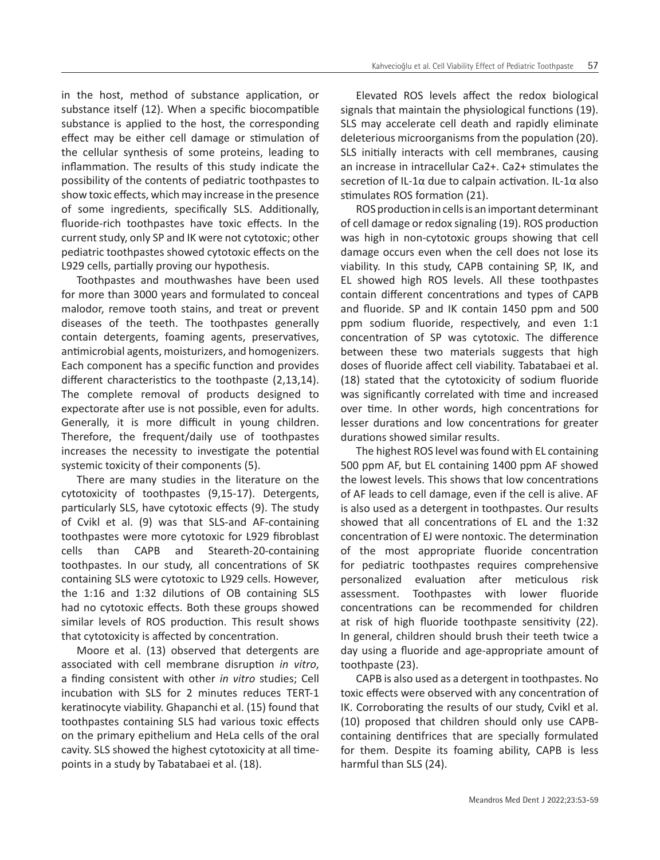in the host, method of substance application, or substance itself (12). When a specific biocompatible substance is applied to the host, the corresponding effect may be either cell damage or stimulation of the cellular synthesis of some proteins, leading to inflammation. The results of this study indicate the possibility of the contents of pediatric toothpastes to show toxic effects, which may increase in the presence of some ingredients, specifically SLS. Additionally, fluoride-rich toothpastes have toxic effects. In the current study, only SP and IK were not cytotoxic; other pediatric toothpastes showed cytotoxic effects on the L929 cells, partially proving our hypothesis.

Toothpastes and mouthwashes have been used for more than 3000 years and formulated to conceal malodor, remove tooth stains, and treat or prevent diseases of the teeth. The toothpastes generally contain detergents, foaming agents, preservatives, antimicrobial agents, moisturizers, and homogenizers. Each component has a specific function and provides different characteristics to the toothpaste (2,13,14). The complete removal of products designed to expectorate after use is not possible, even for adults. Generally, it is more difficult in young children. Therefore, the frequent/daily use of toothpastes increases the necessity to investigate the potential systemic toxicity of their components (5).

There are many studies in the literature on the cytotoxicity of toothpastes (9,15-17). Detergents, particularly SLS, have cytotoxic effects (9). The study of Cvikl et al. (9) was that SLS-and AF-containing toothpastes were more cytotoxic for L929 fibroblast cells than CAPB and Steareth-20-containing toothpastes. In our study, all concentrations of SK containing SLS were cytotoxic to L929 cells. However, the 1:16 and 1:32 dilutions of OB containing SLS had no cytotoxic effects. Both these groups showed similar levels of ROS production. This result shows that cytotoxicity is affected by concentration.

Moore et al. (13) observed that detergents are associated with cell membrane disruption *in vitro*, a finding consistent with other *in vitro* studies; Cell incubation with SLS for 2 minutes reduces TERT-1 keratinocyte viability. Ghapanchi et al. (15) found that toothpastes containing SLS had various toxic effects on the primary epithelium and HeLa cells of the oral cavity. SLS showed the highest cytotoxicity at all timepoints in a study by Tabatabaei et al. (18).

Elevated ROS levels affect the redox biological signals that maintain the physiological functions (19). SLS may accelerate cell death and rapidly eliminate deleterious microorganisms from the population (20). SLS initially interacts with cell membranes, causing an increase in intracellular Ca2+. Ca2+ stimulates the secretion of IL-1α due to calpain activation. IL-1α also stimulates ROS formation (21).

ROS production in cells is an important determinant of cell damage or redox signaling (19). ROS production was high in non-cytotoxic groups showing that cell damage occurs even when the cell does not lose its viability. In this study, CAPB containing SP, IK, and EL showed high ROS levels. All these toothpastes contain different concentrations and types of CAPB and fluoride. SP and IK contain 1450 ppm and 500 ppm sodium fluoride, respectively, and even 1:1 concentration of SP was cytotoxic. The difference between these two materials suggests that high doses of fluoride affect cell viability. Tabatabaei et al. (18) stated that the cytotoxicity of sodium fluoride was significantly correlated with time and increased over time. In other words, high concentrations for lesser durations and low concentrations for greater durations showed similar results.

The highest ROS level was found with EL containing 500 ppm AF, but EL containing 1400 ppm AF showed the lowest levels. This shows that low concentrations of AF leads to cell damage, even if the cell is alive. AF is also used as a detergent in toothpastes. Our results showed that all concentrations of EL and the 1:32 concentration of EJ were nontoxic. The determination of the most appropriate fluoride concentration for pediatric toothpastes requires comprehensive personalized evaluation after meticulous risk assessment. Toothpastes with lower fluoride concentrations can be recommended for children at risk of high fluoride toothpaste sensitivity (22). In general, children should brush their teeth twice a day using a fluoride and age-appropriate amount of toothpaste (23).

CAPB is also used as a detergent in toothpastes. No toxic effects were observed with any concentration of IK. Corroborating the results of our study, Cvikl et al. (10) proposed that children should only use CAPBcontaining dentifrices that are specially formulated for them. Despite its foaming ability, CAPB is less harmful than SLS (24).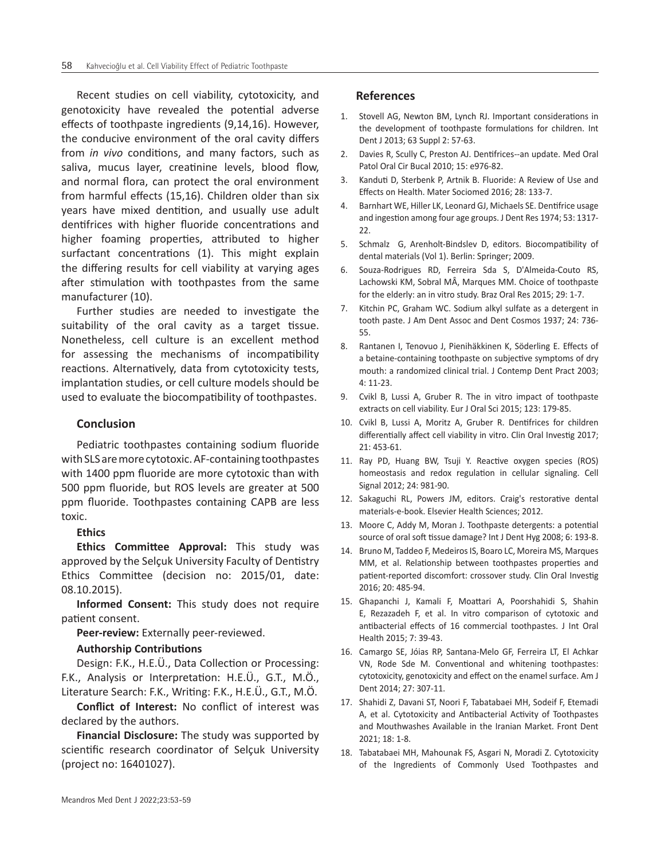Recent studies on cell viability, cytotoxicity, and genotoxicity have revealed the potential adverse effects of toothpaste ingredients (9,14,16). However, the conducive environment of the oral cavity differs from *in vivo* conditions, and many factors, such as saliva, mucus layer, creatinine levels, blood flow, and normal flora, can protect the oral environment from harmful effects (15,16). Children older than six years have mixed dentition, and usually use adult dentifrices with higher fluoride concentrations and higher foaming properties, attributed to higher surfactant concentrations (1). This might explain the differing results for cell viability at varying ages after stimulation with toothpastes from the same manufacturer (10).

Further studies are needed to investigate the suitability of the oral cavity as a target tissue. Nonetheless, cell culture is an excellent method for assessing the mechanisms of incompatibility reactions. Alternatively, data from cytotoxicity tests, implantation studies, or cell culture models should be used to evaluate the biocompatibility of toothpastes.

# **Conclusion**

Pediatric toothpastes containing sodium fluoride with SLS are more cytotoxic. AF-containing toothpastes with 1400 ppm fluoride are more cytotoxic than with 500 ppm fluoride, but ROS levels are greater at 500 ppm fluoride. Toothpastes containing CAPB are less toxic.

**Ethics**

**Ethics Committee Approval:** This study was approved by the Selçuk University Faculty of Dentistry Ethics Committee (decision no: 2015/01, date: 08.10.2015).

**Informed Consent:** This study does not require patient consent.

**Peer-review:** Externally peer-reviewed.

#### **Authorship Contributions**

Design: F.K., H.E.Ü., Data Collection or Processing: F.K., Analysis or Interpretation: H.E.Ü., G.T., M.Ö., Literature Search: F.K., Writing: F.K., H.E.Ü., G.T., M.Ö.

**Conflict of Interest:** No conflict of interest was declared by the authors.

**Financial Disclosure:** The study was supported by scientific research coordinator of Selçuk University (project no: 16401027).

# **References**

- 1. Stovell AG, Newton BM, Lynch RJ. Important considerations in the development of toothpaste formulations for children. Int Dent J 2013; 63 Suppl 2: 57-63.
- 2. Davies R, Scully C, Preston AJ. Dentifrices--an update. Med Oral Patol Oral Cir Bucal 2010; 15: e976-82.
- 3. Kanduti D, Sterbenk P, Artnik B. Fluoride: A Review of Use and Effects on Health. Mater Sociomed 2016; 28: 133-7.
- 4. Barnhart WE, Hiller LK, Leonard GJ, Michaels SE. Dentifrice usage and ingestion among four age groups. J Dent Res 1974; 53: 1317- 22.
- 5. Schmalz G, Arenholt-Bindslev D, editors. Biocompatibility of dental materials (Vol 1). Berlin: Springer; 2009.
- 6. Souza-Rodrigues RD, Ferreira Sda S, D'Almeida-Couto RS, Lachowski KM, Sobral MÂ, Marques MM. Choice of toothpaste for the elderly: an in vitro study. Braz Oral Res 2015; 29: 1-7.
- 7. Kitchin PC, Graham WC. Sodium alkyl sulfate as a detergent in tooth paste. J Am Dent Assoc and Dent Cosmos 1937; 24: 736- 55.
- 8. Rantanen I, Tenovuo J, Pienihäkkinen K, Söderling E. Effects of a betaine-containing toothpaste on subjective symptoms of dry mouth: a randomized clinical trial. J Contemp Dent Pract 2003; 4: 11-23.
- 9. Cvikl B, Lussi A, Gruber R. The in vitro impact of toothpaste extracts on cell viability. Eur J Oral Sci 2015; 123: 179-85.
- 10. Cvikl B, Lussi A, Moritz A, Gruber R. Dentifrices for children differentially affect cell viability in vitro. Clin Oral Investig 2017; 21: 453-61.
- 11. Ray PD, Huang BW, Tsuji Y. Reactive oxygen species (ROS) homeostasis and redox regulation in cellular signaling. Cell Signal 2012; 24: 981-90.
- 12. Sakaguchi RL, Powers JM, editors. Craig's restorative dental materials-e-book. Elsevier Health Sciences; 2012.
- 13. Moore C, Addy M, Moran J. Toothpaste detergents: a potential source of oral soft tissue damage? Int J Dent Hyg 2008; 6: 193-8.
- 14. Bruno M, Taddeo F, Medeiros IS, Boaro LC, Moreira MS, Marques MM, et al. Relationship between toothpastes properties and patient-reported discomfort: crossover study. Clin Oral Investig 2016; 20: 485-94.
- 15. Ghapanchi J, Kamali F, Moattari A, Poorshahidi S, Shahin E, Rezazadeh F, et al. In vitro comparison of cytotoxic and antibacterial effects of 16 commercial toothpastes. J Int Oral Health 2015; 7: 39-43.
- 16. Camargo SE, Jóias RP, Santana-Melo GF, Ferreira LT, El Achkar VN, Rode Sde M. Conventional and whitening toothpastes: cytotoxicity, genotoxicity and effect on the enamel surface. Am J Dent 2014; 27: 307-11.
- 17. Shahidi Z, Davani ST, Noori F, Tabatabaei MH, Sodeif F, Etemadi A, et al. Cytotoxicity and Antibacterial Activity of Toothpastes and Mouthwashes Available in the Iranian Market. Front Dent 2021; 18: 1-8.
- 18. Tabatabaei MH, Mahounak FS, Asgari N, Moradi Z. Cytotoxicity of the Ingredients of Commonly Used Toothpastes and